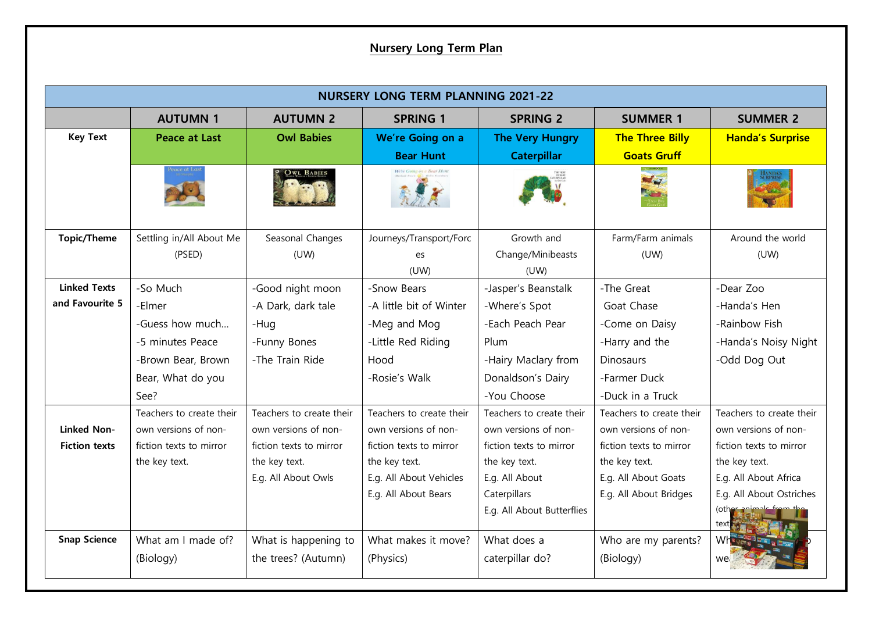## **Nursery Long Term Plan**

| <b>NURSERY LONG TERM PLANNING 2021-22</b> |                          |                          |                          |                            |                          |                          |
|-------------------------------------------|--------------------------|--------------------------|--------------------------|----------------------------|--------------------------|--------------------------|
|                                           | <b>AUTUMN 1</b>          | <b>AUTUMN 2</b>          | <b>SPRING 1</b>          | <b>SPRING 2</b>            | <b>SUMMER 1</b>          | <b>SUMMER 2</b>          |
| <b>Key Text</b>                           | <b>Peace at Last</b>     | <b>Owl Babies</b>        | We're Going on a         | <b>The Very Hungry</b>     | <b>The Three Billy</b>   | <b>Handa's Surprise</b>  |
|                                           |                          |                          | <b>Bear Hunt</b>         | <b>Caterpillar</b>         | <b>Goats Gruff</b>       |                          |
|                                           |                          | OWL BABIES               |                          |                            | Mar                      |                          |
| <b>Topic/Theme</b>                        | Settling in/All About Me | Seasonal Changes         | Journeys/Transport/Forc  | Growth and                 | Farm/Farm animals        | Around the world         |
|                                           | (PSED)                   | (UW)                     | es<br>(UW)               | Change/Minibeasts<br>(UW)  | (UW)                     | (UW)                     |
| <b>Linked Texts</b>                       | -So Much                 | -Good night moon         | -Snow Bears              | -Jasper's Beanstalk        | -The Great               | -Dear Zoo                |
| and Favourite 5                           | -Elmer                   | -A Dark, dark tale       | -A little bit of Winter  | -Where's Spot              | Goat Chase               | -Handa's Hen             |
|                                           | -Guess how much          | -Hug                     | -Meg and Mog             | -Each Peach Pear           | -Come on Daisy           | -Rainbow Fish            |
|                                           | -5 minutes Peace         | -Funny Bones             | -Little Red Riding       | Plum                       | -Harry and the           | -Handa's Noisy Night     |
|                                           | -Brown Bear, Brown       | -The Train Ride          | Hood                     | -Hairy Maclary from        | <b>Dinosaurs</b>         | -Odd Dog Out             |
|                                           | Bear, What do you        |                          | -Rosie's Walk            | Donaldson's Dairy          | -Farmer Duck             |                          |
|                                           | See?                     |                          |                          | -You Choose                | -Duck in a Truck         |                          |
|                                           | Teachers to create their | Teachers to create their | Teachers to create their | Teachers to create their   | Teachers to create their | Teachers to create their |
| <b>Linked Non-</b>                        | own versions of non-     | own versions of non-     | own versions of non-     | own versions of non-       | own versions of non-     | own versions of non-     |
| <b>Fiction texts</b>                      | fiction texts to mirror  | fiction texts to mirror  | fiction texts to mirror  | fiction texts to mirror    | fiction texts to mirror  | fiction texts to mirror  |
|                                           | the key text.            | the key text.            | the key text.            | the key text.              | the key text.            | the key text.            |
|                                           |                          | E.g. All About Owls      | E.g. All About Vehicles  | E.g. All About             | E.g. All About Goats     | E.g. All About Africa    |
|                                           |                          |                          | E.g. All About Bears     | Caterpillars               | E.g. All About Bridges   | E.g. All About Ostriches |
|                                           |                          |                          |                          | E.g. All About Butterflies |                          | (oth<br>text             |
| <b>Snap Science</b>                       | What am I made of?       | What is happening to     | What makes it move?      | What does a                | Who are my parents?      |                          |
|                                           | (Biology)                | the trees? (Autumn)      | (Physics)                | caterpillar do?            | (Biology)                |                          |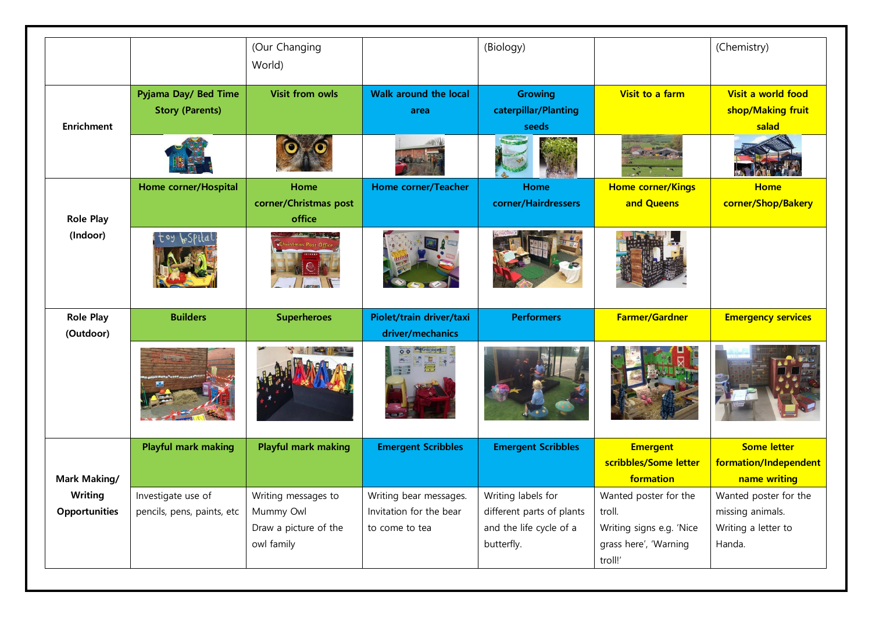|                     |                            | (Our Changing              |                              | (Biology)                 |                          | (Chemistry)               |
|---------------------|----------------------------|----------------------------|------------------------------|---------------------------|--------------------------|---------------------------|
|                     |                            | World)                     |                              |                           |                          |                           |
|                     | Pyjama Day/ Bed Time       | <b>Visit from owls</b>     | <b>Walk around the local</b> | <b>Growing</b>            | Visit to a farm          | Visit a world food        |
|                     | <b>Story (Parents)</b>     |                            | area                         | caterpillar/Planting      |                          | shop/Making fruit         |
| <b>Enrichment</b>   |                            |                            |                              | seeds                     |                          | salad                     |
|                     |                            |                            |                              |                           |                          |                           |
|                     | Home corner/Hospital       | Home                       | Home corner/Teacher          | Home                      | <b>Home corner/Kings</b> | <b>Home</b>               |
|                     |                            | corner/Christmas post      |                              | corner/Hairdressers       | and Queens               | corner/Shop/Bakery        |
| <b>Role Play</b>    |                            | office                     |                              |                           |                          |                           |
| (Indoor)            |                            | <b>The DATES And I</b>     |                              |                           |                          |                           |
| <b>Role Play</b>    | <b>Builders</b>            | <b>Superheroes</b>         | Piolet/train driver/taxi     | <b>Performers</b>         | <b>Farmer/Gardner</b>    | <b>Emergency services</b> |
| (Outdoor)           |                            |                            | driver/mechanics             |                           |                          |                           |
|                     |                            |                            |                              |                           |                          |                           |
|                     | <b>Playful mark making</b> | <b>Playful mark making</b> | <b>Emergent Scribbles</b>    | <b>Emergent Scribbles</b> | <b>Emergent</b>          | <b>Some letter</b>        |
|                     |                            |                            |                              |                           | scribbles/Some letter    | formation/Independent     |
| <b>Mark Making/</b> |                            |                            |                              |                           | formation                | name writing              |
| Writing             | Investigate use of         | Writing messages to        | Writing bear messages.       | Writing labels for        | Wanted poster for the    | Wanted poster for the     |
| Opportunities       | pencils, pens, paints, etc | Mummy Owl                  | Invitation for the bear      | different parts of plants | troll.                   | missing animals.          |
|                     |                            | Draw a picture of the      | to come to tea               | and the life cycle of a   | Writing signs e.g. 'Nice | Writing a letter to       |
|                     |                            | owl family                 |                              | butterfly.                | grass here', 'Warning    | Handa.                    |
|                     |                            |                            |                              |                           | troll!'                  |                           |